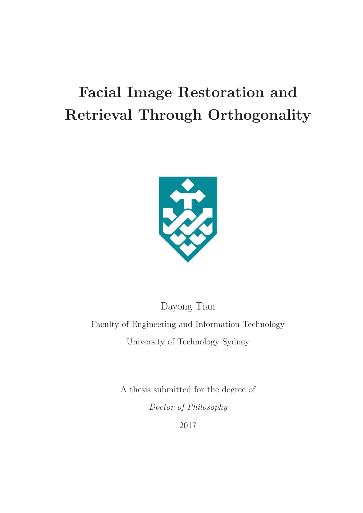# **Facial Image Restoration and Retrieval Through Orthogonality**



Dayong Tian Faculty of Engineering and Information Technology University of Technology Sydney

> A thesis submitted for the degree of Doctor of Philosophy

2017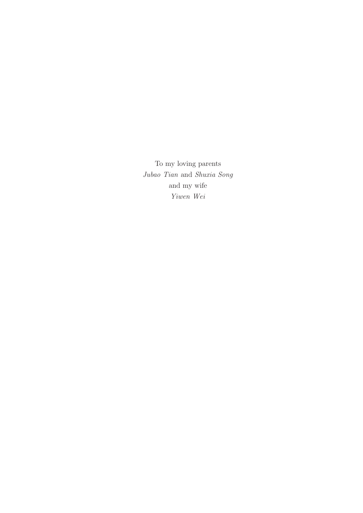To my loving parents Jubao Tian and Shuxia Song and my wife Yiwen Wei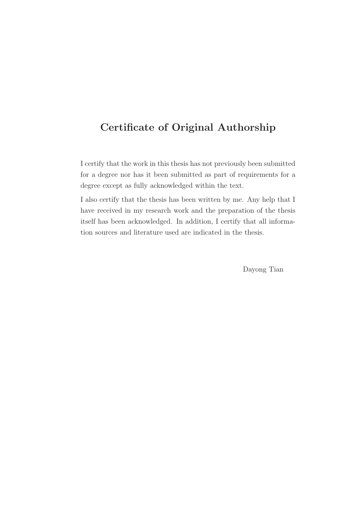## **Certificate of Original Authorship**

I certify that the work in this thesis has not previously been submitted for a degree nor has it been submitted as part of requirements for a degree except as fully acknowledged within the text.

I also certify that the thesis has been written by me. Any help that I have received in my research work and the preparation of the thesis itself has been acknowledged. In addition, I certify that all information sources and literature used are indicated in the thesis.

Dayong Tian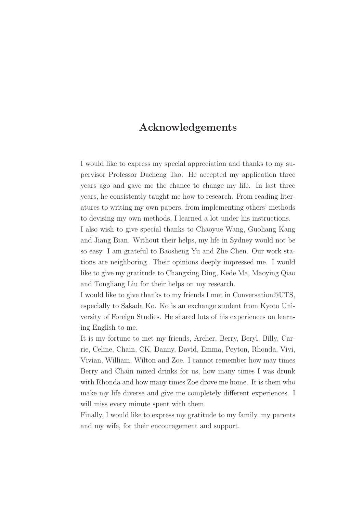## **Acknowledgements**

I would like to express my special appreciation and thanks to my supervisor Professor Dacheng Tao. He accepted my application three years ago and gave me the chance to change my life. In last three years, he consistently taught me how to research. From reading literatures to writing my own papers, from implementing others' methods to devising my own methods, I learned a lot under his instructions.

I also wish to give special thanks to Chaoyue Wang, Guoliang Kang and Jiang Bian. Without their helps, my life in Sydney would not be so easy. I am grateful to Baosheng Yu and Zhe Chen. Our work stations are neighboring. Their opinions deeply impressed me. I would like to give my gratitude to Changxing Ding, Kede Ma, Maoying Qiao and Tongliang Liu for their helps on my research.

I would like to give thanks to my friends I met in Conversation@UTS, especially to Sakada Ko. Ko is an exchange student from Kyoto University of Foreign Studies. He shared lots of his experiences on learning English to me.

It is my fortune to met my friends, Archer, Berry, Beryl, Billy, Carrie, Celine, Chain, CK, Danny, David, Emma, Peyton, Rhonda, Vivi, Vivian, William, Wilton and Zoe. I cannot remember how may times Berry and Chain mixed drinks for us, how many times I was drunk with Rhonda and how many times Zoe drove me home. It is them who make my life diverse and give me completely different experiences. I will miss every minute spent with them.

Finally, I would like to express my gratitude to my family, my parents and my wife, for their encouragement and support.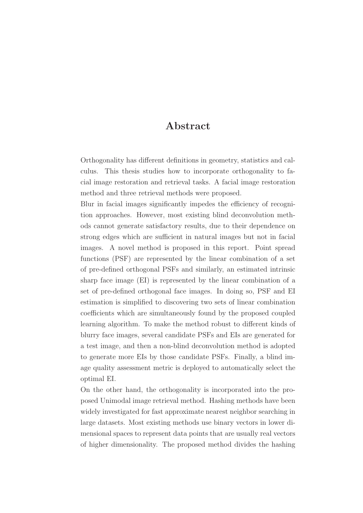### **Abstract**

Orthogonality has different definitions in geometry, statistics and calculus. This thesis studies how to incorporate orthogonality to facial image restoration and retrieval tasks. A facial image restoration method and three retrieval methods were proposed.

Blur in facial images significantly impedes the efficiency of recognition approaches. However, most existing blind deconvolution methods cannot generate satisfactory results, due to their dependence on strong edges which are sufficient in natural images but not in facial images. A novel method is proposed in this report. Point spread functions (PSF) are represented by the linear combination of a set of pre-defined orthogonal PSFs and similarly, an estimated intrinsic sharp face image (EI) is represented by the linear combination of a set of pre-defined orthogonal face images. In doing so, PSF and EI estimation is simplified to discovering two sets of linear combination coefficients which are simultaneously found by the proposed coupled learning algorithm. To make the method robust to different kinds of blurry face images, several candidate PSFs and EIs are generated for a test image, and then a non-blind deconvolution method is adopted to generate more EIs by those candidate PSFs. Finally, a blind image quality assessment metric is deployed to automatically select the optimal EI.

On the other hand, the orthogonality is incorporated into the proposed Unimodal image retrieval method. Hashing methods have been widely investigated for fast approximate nearest neighbor searching in large datasets. Most existing methods use binary vectors in lower dimensional spaces to represent data points that are usually real vectors of higher dimensionality. The proposed method divides the hashing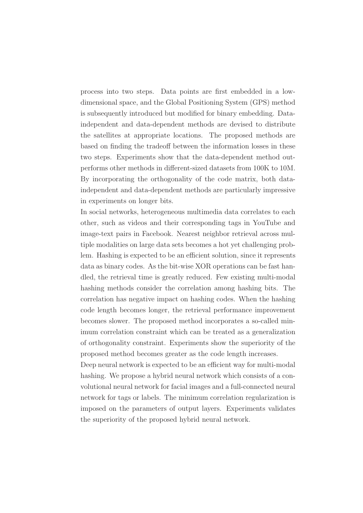process into two steps. Data points are first embedded in a lowdimensional space, and the Global Positioning System (GPS) method is subsequently introduced but modified for binary embedding. Dataindependent and data-dependent methods are devised to distribute the satellites at appropriate locations. The proposed methods are based on finding the tradeoff between the information losses in these two steps. Experiments show that the data-dependent method outperforms other methods in different-sized datasets from 100K to 10M. By incorporating the orthogonality of the code matrix, both dataindependent and data-dependent methods are particularly impressive in experiments on longer bits.

In social networks, heterogeneous multimedia data correlates to each other, such as videos and their corresponding tags in YouTube and image-text pairs in Facebook. Nearest neighbor retrieval across multiple modalities on large data sets becomes a hot yet challenging problem. Hashing is expected to be an efficient solution, since it represents data as binary codes. As the bit-wise XOR operations can be fast handled, the retrieval time is greatly reduced. Few existing multi-modal hashing methods consider the correlation among hashing bits. The correlation has negative impact on hashing codes. When the hashing code length becomes longer, the retrieval performance improvement becomes slower. The proposed method incorporates a so-called minimum correlation constraint which can be treated as a generalization of orthogonality constraint. Experiments show the superiority of the proposed method becomes greater as the code length increases.

Deep neural network is expected to be an efficient way for multi-modal hashing. We propose a hybrid neural network which consists of a convolutional neural network for facial images and a full-connected neural network for tags or labels. The minimum correlation regularization is imposed on the parameters of output layers. Experiments validates the superiority of the proposed hybrid neural network.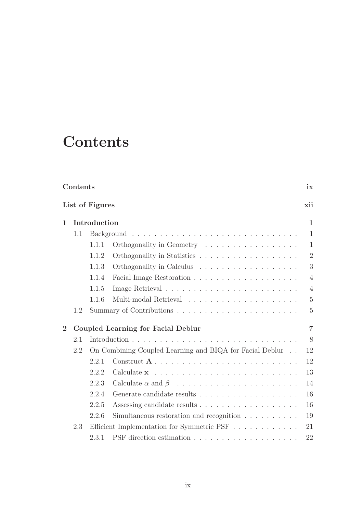## **Contents**

|                 | Contents |              |                                                                                                  |                |
|-----------------|----------|--------------|--------------------------------------------------------------------------------------------------|----------------|
| List of Figures |          |              |                                                                                                  | xii            |
| $\mathbf{1}$    |          | Introduction |                                                                                                  |                |
|                 | 1.1      |              |                                                                                                  | $\mathbf{1}$   |
|                 |          | 1.1.1        | Orthogonality in Geometry                                                                        | $\mathbf{1}$   |
|                 |          | 1.1.2        |                                                                                                  | $\overline{2}$ |
|                 |          | 1.1.3        |                                                                                                  | 3              |
|                 |          | 1.1.4        |                                                                                                  | $\overline{4}$ |
|                 |          | 1.1.5        |                                                                                                  | $\overline{4}$ |
|                 |          | 1.1.6        | Multi-modal Retrieval $\hfill\ldots\ldots\ldots\ldots\ldots\ldots\ldots\ldots\ldots\ldots\ldots$ | $\overline{5}$ |
|                 | 1.2      |              |                                                                                                  | $\overline{5}$ |
| $\overline{2}$  |          |              | Coupled Learning for Facial Deblur                                                               | $\overline{7}$ |
|                 | 2.1      |              |                                                                                                  | 8              |
|                 | 2.2      |              | On Combining Coupled Learning and BIQA for Facial Deblur                                         | 12             |
|                 |          | 2.2.1        |                                                                                                  | 12             |
|                 |          | 2.2.2        |                                                                                                  | 13             |
|                 |          | 2.2.3        |                                                                                                  | 14             |
|                 |          | 2.2.4        |                                                                                                  | 16             |
|                 |          | 2.2.5        |                                                                                                  | 16             |
|                 |          | 2.2.6        | Simultaneous restoration and recognition $\ldots \ldots \ldots$                                  | 19             |
|                 | 2.3      |              | Efficient Implementation for Symmetric PSF                                                       | 21             |
|                 |          | 2.3.1        |                                                                                                  | 22             |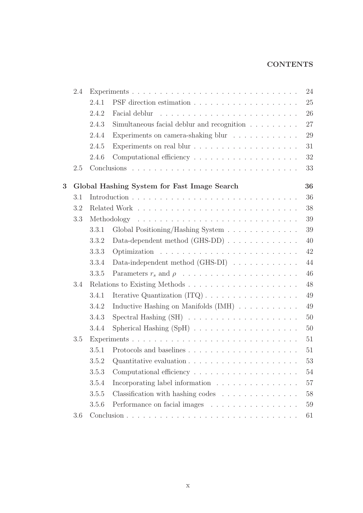### **CONTENTS**

|                | 2.4 |       |                                                                             | 24     |
|----------------|-----|-------|-----------------------------------------------------------------------------|--------|
|                |     | 2.4.1 |                                                                             | 25     |
|                |     | 2.4.2 |                                                                             | 26     |
|                |     | 2.4.3 | Simultaneous facial deblur and recognition $\hfill\ldots\ldots\ldots\ldots$ | 27     |
|                |     | 2.4.4 | Experiments on camera-shaking blur                                          | 29     |
|                |     | 2.4.5 |                                                                             | 31     |
|                |     | 2.4.6 |                                                                             | 32     |
|                | 2.5 |       |                                                                             | 33     |
| $\overline{3}$ |     |       |                                                                             | 36     |
|                | 3.1 |       | Global Hashing System for Fast Image Search                                 | 36     |
|                |     |       |                                                                             |        |
|                | 3.2 |       |                                                                             | 38     |
|                | 3.3 |       |                                                                             | 39     |
|                |     | 3.3.1 | Global Positioning/Hashing System                                           | 39     |
|                |     | 3.3.2 | Data-dependent method $(GHS-DD)$                                            | 40     |
|                |     | 3.3.3 |                                                                             | 42     |
|                |     | 3.3.4 | Data-independent method $(GHS-DI)$                                          | 44     |
|                |     | 3.3.5 |                                                                             | 46     |
|                | 3.4 |       |                                                                             | 48     |
|                |     | 3.4.1 |                                                                             | 49     |
|                |     | 3.4.2 | Inductive Hashing on Manifolds $(IMH) \ldots \ldots \ldots$                 | 49     |
|                |     | 3.4.3 |                                                                             | 50     |
|                |     | 3.4.4 |                                                                             | 50     |
|                | 3.5 |       |                                                                             | 51     |
|                |     | 3.5.1 |                                                                             | 51     |
|                |     | 3.5.2 | Quantitative evaluation $\ldots \ldots \ldots \ldots \ldots \ldots \ldots$  | $53\,$ |
|                |     | 3.5.3 | Computational efficiency $\dots \dots \dots \dots \dots \dots \dots$        | 54     |
|                |     | 3.5.4 | Incorporating label information                                             | 57     |
|                |     | 3.5.5 | Classification with hashing codes $\ldots \ldots \ldots \ldots \ldots$      | 58     |
|                |     | 3.5.6 | Performance on facial images                                                | 59     |
|                | 3.6 |       |                                                                             | 61     |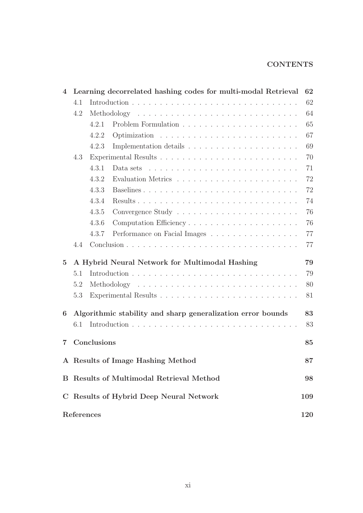#### **CONTENTS**

| $\overline{4}$ |     |                                               | Learning decorrelated hashing codes for multi-modal Retrieval                       | 62  |
|----------------|-----|-----------------------------------------------|-------------------------------------------------------------------------------------|-----|
|                | 4.1 |                                               |                                                                                     | 62  |
|                | 4.2 |                                               |                                                                                     | 64  |
|                |     | 4.2.1                                         |                                                                                     | 65  |
|                |     | 4.2.2                                         |                                                                                     | 67  |
|                |     | 4.2.3                                         |                                                                                     | 69  |
|                | 4.3 |                                               |                                                                                     | 70  |
|                |     | 4.3.1                                         | Data sets $\dots \dots \dots \dots \dots \dots \dots \dots \dots \dots \dots \dots$ | 71  |
|                |     | 4.3.2                                         |                                                                                     | 72  |
|                |     | 4.3.3                                         |                                                                                     | 72  |
|                |     | 4.3.4                                         |                                                                                     | 74  |
|                |     | 4.3.5                                         |                                                                                     | 76  |
|                |     | 4.3.6                                         |                                                                                     | 76  |
|                |     | 4.3.7                                         | Performance on Facial Images                                                        | 77  |
|                | 4.4 |                                               |                                                                                     | 77  |
|                |     |                                               |                                                                                     |     |
| $\overline{5}$ |     |                                               | A Hybrid Neural Network for Multimodal Hashing                                      | 79  |
|                | 5.1 |                                               |                                                                                     | 79  |
|                | 5.2 |                                               |                                                                                     | 80  |
|                | 5.3 |                                               |                                                                                     | 81  |
| 6              |     |                                               | Algorithmic stability and sharp generalization error bounds                         | 83  |
|                | 6.1 |                                               |                                                                                     | 83  |
| 7              |     | Conclusions                                   |                                                                                     | 85  |
|                |     |                                               |                                                                                     |     |
|                |     | A Results of Image Hashing Method             |                                                                                     | 87  |
| B.             |     | <b>Results of Multimodal Retrieval Method</b> |                                                                                     | 98  |
|                |     | C Results of Hybrid Deep Neural Network       |                                                                                     | 109 |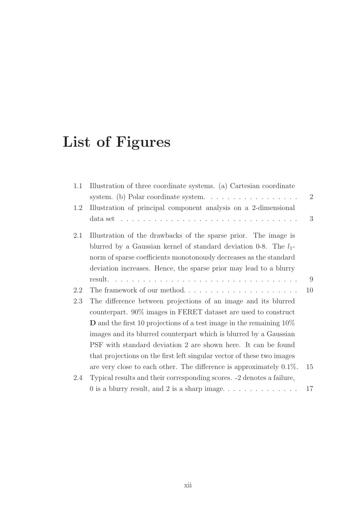# **List of Figures**

| 1.1 | Illustration of three coordinate systems. (a) Cartesian coordinate                                    |    |
|-----|-------------------------------------------------------------------------------------------------------|----|
|     | system. (b) Polar coordinate system. $\ldots \ldots \ldots \ldots \ldots$                             | 2  |
| 1.2 | Illustration of principal component analysis on a 2-dimensional                                       |    |
|     | data set $\ldots \ldots \ldots \ldots \ldots \ldots \ldots \ldots \ldots \ldots \ldots \ldots \ldots$ | 3  |
| 2.1 | Illustration of the drawbacks of the sparse prior. The image is                                       |    |
|     | blurred by a Gaussian kernel of standard deviation 0-8. The $l_1$ -                                   |    |
|     | norm of sparse coefficients monotonously decreases as the standard                                    |    |
|     | deviation increases. Hence, the sparse prior may lead to a blurry                                     |    |
|     |                                                                                                       | 9  |
| 2.2 |                                                                                                       | 10 |
| 2.3 | The difference between projections of an image and its blurred                                        |    |
|     | counterpart. 90% images in FERET dataset are used to construct                                        |    |
|     | <b>D</b> and the first 10 projections of a test image in the remaining $10\%$                         |    |
|     | images and its blurred counterpart which is blurred by a Gaussian                                     |    |
|     | PSF with standard deviation 2 are shown here. It can be found                                         |    |
|     | that projections on the first left singular vector of these two images                                |    |
|     | are very close to each other. The difference is approximately $0.1\%$ .                               | 15 |
| 2.4 | Typical results and their corresponding scores. -2 denotes a failure,                                 |    |
|     |                                                                                                       | 17 |
|     |                                                                                                       |    |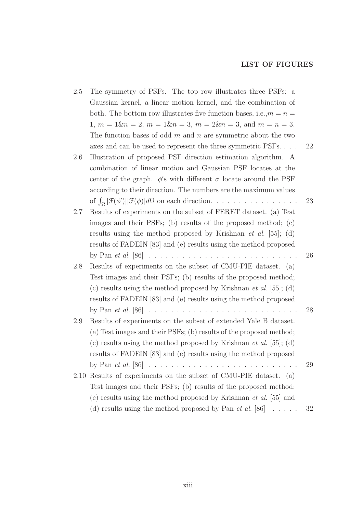#### **LIST OF FIGURES**

| 2.5  | The symmetry of PSFs. The top row illustrates three PSFs: a                                       |    |
|------|---------------------------------------------------------------------------------------------------|----|
|      | Gaussian kernel, a linear motion kernel, and the combination of                                   |    |
|      | both. The bottom row illustrates five function bases, i.e., $m = n =$                             |    |
|      | $1, m = 1\&n = 2, m = 1\&n = 3, m = 2\&n = 3, \text{ and } m = n = 3.$                            |    |
|      | The function bases of odd $m$ and $n$ are symmetric about the two                                 |    |
|      | axes and can be used to represent the three symmetric PSFs                                        | 22 |
| 2.6  | Illustration of proposed PSF direction estimation algorithm. A                                    |    |
|      | combination of linear motion and Gaussian PSF locates at the                                      |    |
|      | center of the graph. $\phi$ 's with different $\sigma$ locate around the PSF                      |    |
|      | according to their direction. The numbers are the maximum values                                  |    |
|      | of $\int_{\Omega}  \mathcal{F}(\phi')   \mathcal{F}(\phi)  d\Omega$ on each direction.            | 23 |
| 2.7  | Results of experiments on the subset of FERET dataset. (a) Test                                   |    |
|      | images and their PSFs; (b) results of the proposed method; (c)                                    |    |
|      | results using the method proposed by Krishnan <i>et al.</i> [55]; (d)                             |    |
|      | results of FADEIN [83] and (e) results using the method proposed                                  |    |
|      | by Pan <i>et al.</i> [86] $\ldots \ldots \ldots \ldots \ldots \ldots \ldots \ldots \ldots \ldots$ | 26 |
| 2.8  | Results of experiments on the subset of CMU-PIE dataset. (a)                                      |    |
|      | Test images and their PSFs; (b) results of the proposed method;                                   |    |
|      | (c) results using the method proposed by Krishnan <i>et al.</i> [55]; (d)                         |    |
|      | results of FADEIN [83] and (e) results using the method proposed                                  |    |
|      |                                                                                                   | 28 |
| 2.9  | Results of experiments on the subset of extended Yale B dataset.                                  |    |
|      | (a) Test images and their PSFs; (b) results of the proposed method;                               |    |
|      | (c) results using the method proposed by Krishnan <i>et al.</i> [55]; (d)                         |    |
|      | results of FADEIN [83] and (e) results using the method proposed                                  |    |
|      | by Pan <i>et al.</i> [86] $\ldots \ldots \ldots \ldots \ldots \ldots \ldots \ldots \ldots \ldots$ | 29 |
| 2.10 | Results of experiments on the subset of CMU-PIE dataset. (a)                                      |    |
|      | Test images and their PSFs; (b) results of the proposed method;                                   |    |
|      | (c) results using the method proposed by Krishnan <i>et al.</i> [55] and                          |    |
|      | (d) results using the method proposed by Pan <i>et al.</i> [86] $\dots$ .                         | 32 |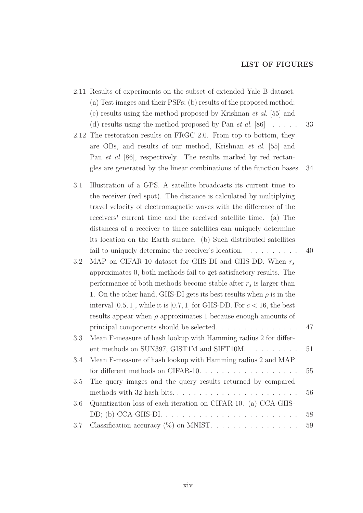#### **LIST OF FIGURES**

|     | 2.11 Results of experiments on the subset of extended Yale B dataset.                |    |
|-----|--------------------------------------------------------------------------------------|----|
|     | (a) Test images and their PSFs; (b) results of the proposed method;                  |    |
|     | (c) results using the method proposed by Krishnan <i>et al.</i> [55] and             |    |
|     | (d) results using the method proposed by Pan <i>et al.</i> [86] $\dots$ .            | 33 |
|     | 2.12 The restoration results on FRGC 2.0. From top to bottom, they                   |    |
|     | are OBs, and results of our method, Krishnan et al. [55] and                         |    |
|     | Pan <i>et al</i> [86], respectively. The results marked by red rectan-               |    |
|     | gles are generated by the linear combinations of the function bases.                 | 34 |
| 3.1 | Illustration of a GPS. A satellite broadcasts its current time to                    |    |
|     | the receiver (red spot). The distance is calculated by multiplying                   |    |
|     | travel velocity of electromagnetic waves with the difference of the                  |    |
|     | receivers' current time and the received satellite time. (a) The                     |    |
|     | distances of a receiver to three satellities can uniquely determine                  |    |
|     | its location on the Earth surface. (b) Such distributed satellities                  |    |
|     | fail to uniquely determine the receiver's location.                                  | 40 |
| 3.2 | MAP on CIFAR-10 dataset for GHS-DI and GHS-DD. When $r_s$                            |    |
|     | approximates 0, both methods fail to get satisfactory results. The                   |    |
|     | performance of both methods become stable after $r_s$ is larger than                 |    |
|     | 1. On the other hand, GHS-DI gets its best results when $\rho$ is in the             |    |
|     | interval [0.5, 1], while it is [0.7, 1] for GHS-DD. For $c < 16$ , the best          |    |
|     | results appear when $\rho$ approximates 1 because enough amounts of                  |    |
|     | principal components should be selected. $\ldots \ldots \ldots \ldots$               | 47 |
| 3.3 | Mean F-measure of hash lookup with Hamming radius 2 for differ-                      |    |
|     | ent methods on SUN397, GIST1M and SIFT10M. $\dots \dots$                             | 51 |
| 3.4 | Mean F-measure of hash lookup with Hamming radius 2 and MAP                          |    |
|     | for different methods on CIFAR-10. $\dots \dots \dots \dots \dots \dots$             | 55 |
| 3.5 | The query images and the query results returned by compared                          |    |
|     |                                                                                      | 56 |
| 3.6 | Quantization loss of each iteration on CIFAR-10. (a) CCA-GHS-                        |    |
|     | DD; (b) CCA-GHS-DI. $\ldots \ldots \ldots \ldots \ldots \ldots \ldots \ldots \ldots$ | 58 |
| 3.7 | Classification accuracy $(\%)$ on MNIST.                                             | 59 |